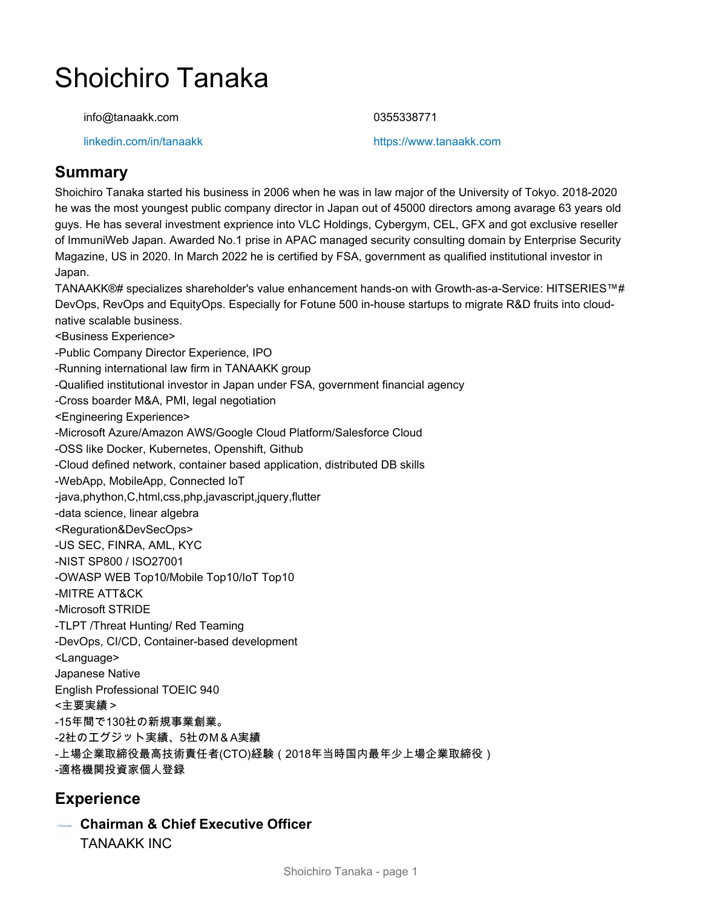# Shoichiro Tanaka

info@tanaakk.com 0355338771

[linkedin.com/in/tanaakk](https://www.linkedin.com/in/tanaakk) <https://www.tanaakk.com>

## **Summary**

Shoichiro Tanaka started his business in 2006 when he was in law major of the University of Tokyo. 2018-2020 he was the most youngest public company director in Japan out of 45000 directors among avarage 63 years old guys. He has several investment exprience into VLC Holdings, Cybergym, CEL, GFX and got exclusive reseller of ImmuniWeb Japan. Awarded No.1 prise in APAC managed security consulting domain by Enterprise Security Magazine, US in 2020. In March 2022 he is certified by FSA, government as qualified institutional investor in Japan.

TANAAKK®# specializes shareholder's value enhancement hands-on with Growth-as-a-Service: HITSERIES™# DevOps, RevOps and EquityOps. Especially for Fotune 500 in-house startups to migrate R&D fruits into cloudnative scalable business.

<Business Experience>

-Public Company Director Experience, IPO

-Running international law firm in TANAAKK group

-Qualified institutional investor in Japan under FSA, government financial agency

-Cross boarder M&A, PMI, legal negotiation

<Engineering Experience>

-Microsoft Azure/Amazon AWS/Google Cloud Platform/Salesforce Cloud

-OSS like Docker, Kubernetes, Openshift, Github

-Cloud defined network, container based application, distributed DB skills

-WebApp, MobileApp, Connected IoT

-java,phython,C,html,css,php,javascript,jquery,flutter

-data science, linear algebra

<Reguration&DevSecOps>

-US SEC, FINRA, AML, KYC

-NIST SP800 / ISO27001

-OWASP WEB Top10/Mobile Top10/IoT Top10

-MITRE ATT&CK

-Microsoft STRIDE

-TLPT /Threat Hunting/ Red Teaming

-DevOps, CI/CD, Container-based development

<Language>

Japanese Native

English Professional TOEIC 940

<主要実績>

-15年間で130社の新規事業創業。

-2社のエグジット実績、5社のM&A実績

-上場企業取締役最高技術責任者(CTO)経験(2018年当時国内最年少上場企業取締役)

-適格機関投資家個人登録

# **Experience**

## **Chairman & Chief Executive Officer**

TANAAKK INC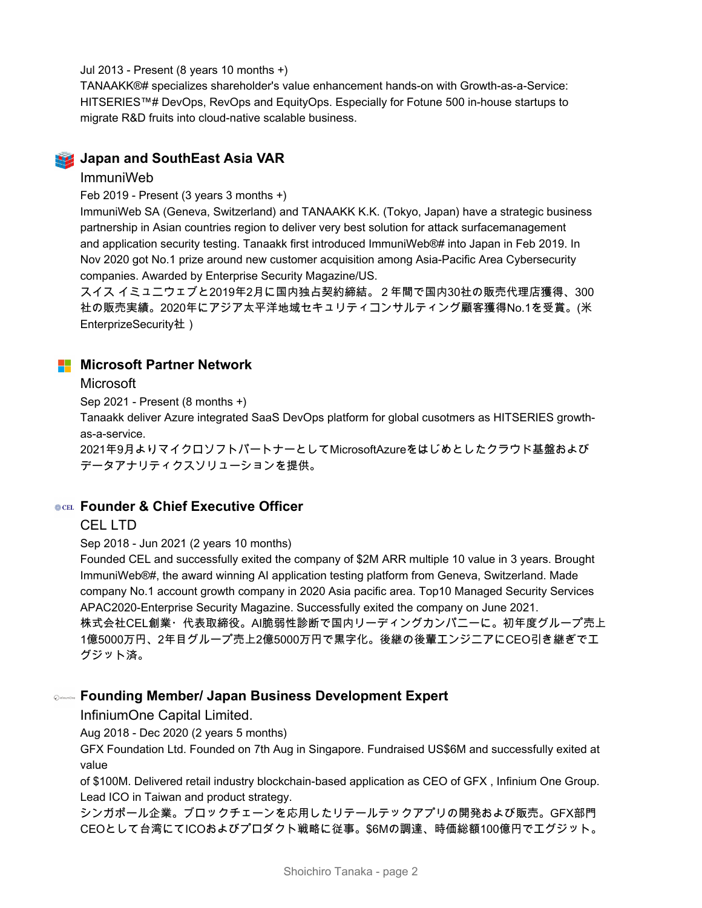Jul 2013 - Present (8 years 10 months +)

TANAAKK®# specializes shareholder's value enhancement hands-on with Growth-as-a-Service: HITSERIES™# DevOps, RevOps and EquityOps. Especially for Fotune 500 in-house startups to migrate R&D fruits into cloud-native scalable business.



#### ImmuniWeb

Feb 2019 - Present (3 years 3 months +)

ImmuniWeb SA (Geneva, Switzerland) and TANAAKK K.K. (Tokyo, Japan) have a strategic business partnership in Asian countries region to deliver very best solution for attack surfacemanagement and application security testing. Tanaakk first introduced ImmuniWeb®# into Japan in Feb 2019. In Nov 2020 got No.1 prize around new customer acquisition among Asia-Pacific Area Cybersecurity companies. Awarded by Enterprise Security Magazine/US.

スイス イミュニウェブと2019年2月に国内独占契約締結。2年間で国内30社の販売代理店獲得、300 社の販売実績。2020年にアジア太平洋地域セキュリティコンサルティング顧客獲得No.1を受賞。(米 EnterprizeSecurity社)

#### **Microsoft Partner Network**

#### **Microsoft**

Sep 2021 - Present (8 months +)

Tanaakk deliver Azure integrated SaaS DevOps platform for global cusotmers as HITSERIES growthas-a-service.

2021年9月よりマイクロソフトパートナーとしてMicrosoftAzureをはじめとしたクラウド基盤および データアナリティクスソリューションを提供。

#### **Founder & Chief Executive Officer**

#### CEL LTD

Sep 2018 - Jun 2021 (2 years 10 months)

Founded CEL and successfully exited the company of \$2M ARR multiple 10 value in 3 years. Brought ImmuniWeb®#, the award winning AI application testing platform from Geneva, Switzerland. Made company No.1 account growth company in 2020 Asia pacific area. Top10 Managed Security Services APAC2020-Enterprise Security Magazine. Successfully exited the company on June 2021.

株式会社CEL創業・代表取締役。AI脆弱性診断で国内リーディングカンパニーに。初年度グループ売上 1億5000万円、2年目グループ売上2億5000万円で黒字化。後継の後輩エンジニアにCEO引き継ぎでエ グジット済。

#### **Founding Member/ Japan Business Development Expert**

InfiniumOne Capital Limited.

Aug 2018 - Dec 2020 (2 years 5 months)

GFX Foundation Ltd. Founded on 7th Aug in Singapore. Fundraised US\$6M and successfully exited at value

of \$100M. Delivered retail industry blockchain-based application as CEO of GFX , Infinium One Group. Lead ICO in Taiwan and product strategy.

シンガポール企業。ブロックチェーンを応用したリテールテックアプリの開発および販売。GFX部門 CEOとして台湾にてICOおよびプロダクト戦略に従事。\$6Mの調達、時価総額100億円でエグジット。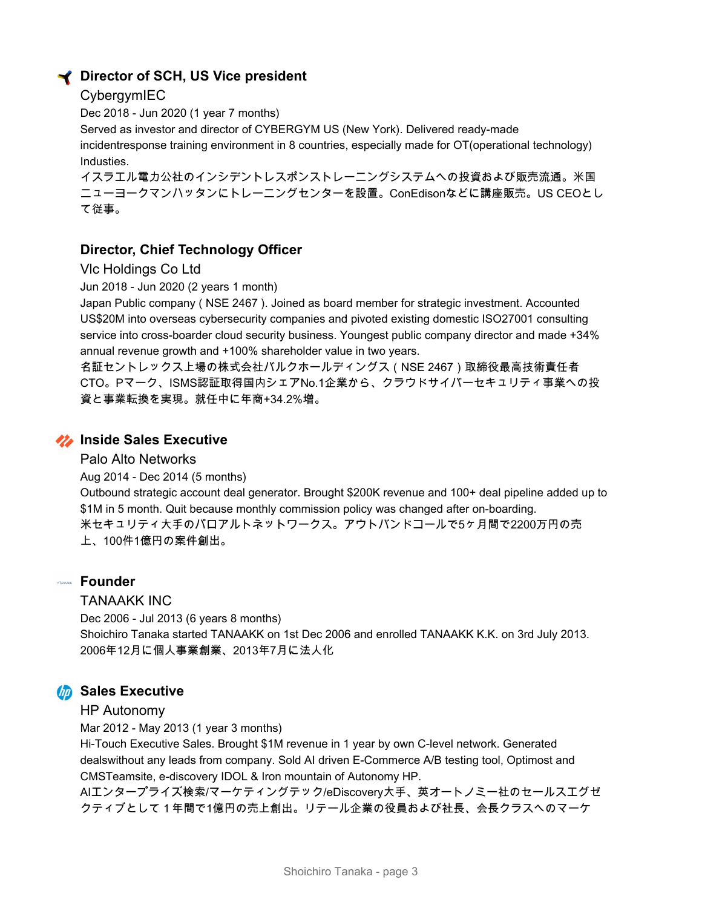## **Director of SCH, US Vice president**

#### CybergymIEC

Dec 2018 - Jun 2020 (1 year 7 months)

Served as investor and director of CYBERGYM US (New York). Delivered ready-made incidentresponse training environment in 8 countries, especially made for OT(operational technology) Industies.

イスラエル電力公社のインシデントレスポンストレーニングシステムへの投資および販売流通。米国 ニューヨークマンハッタンにトレーニングセンターを設置。ConEdisonなどに講座販売。US CEOとし て従事。

### **Director, Chief Technology Officer**

#### Vlc Holdings Co Ltd

Jun 2018 - Jun 2020 (2 years 1 month)

Japan Public company ( NSE 2467 ). Joined as board member for strategic investment. Accounted US\$20M into overseas cybersecurity companies and pivoted existing domestic ISO27001 consulting service into cross-boarder cloud security business. Youngest public company director and made +34% annual revenue growth and +100% shareholder value in two years.

名証セントレックス上場の株式会社バルクホールディングス(NSE 2467)取締役最高技術責任者 CTO。Pマーク、ISMS認証取得国内シェアNo.1企業から、クラウドサイバーセキュリティ事業への投 資と事業転換を実現。就任中に年商+34.2%増。

#### **Inside Sales Executive**

#### Palo Alto Networks

Aug 2014 - Dec 2014 (5 months) Outbound strategic account deal generator. Brought \$200K revenue and 100+ deal pipeline added up to \$1M in 5 month. Quit because monthly commission policy was changed after on-boarding. 米セキュリティ大手のパロアルトネットワークス。アウトバンドコールで5ヶ月間で2200万円の売 上、100件1億円の案件創出。

## **Founder**

#### TANAAKK INC

Dec 2006 - Jul 2013 (6 years 8 months) Shoichiro Tanaka started TANAAKK on 1st Dec 2006 and enrolled TANAAKK K.K. on 3rd July 2013. 2006年12月に個人事業創業、2013年7月に法人化

## *<b>Sales Executive*

#### HP Autonomy

Mar 2012 - May 2013 (1 year 3 months)

Hi-Touch Executive Sales. Brought \$1M revenue in 1 year by own C-level network. Generated dealswithout any leads from company. Sold AI driven E-Commerce A/B testing tool, Optimost and CMSTeamsite, e-discovery IDOL & Iron mountain of Autonomy HP.

AIエンタープライズ検索/マーケティングテック/eDiscovery大手、英オートノミー社のセールスエグゼ クティブとして1年間で1億円の売上創出。リテール企業の役員および社長、会長クラスへのマーケ